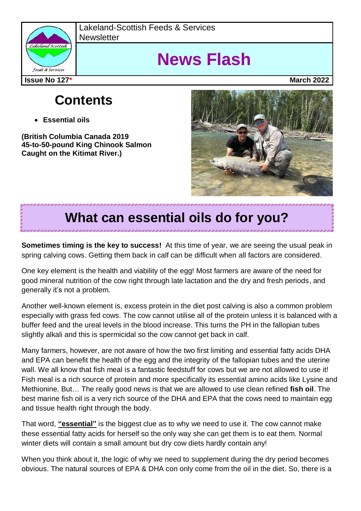

Lakeland-Scottish Feeds & Services **Newsletter** 

# **News Flash**

**Issue No 127\* March 2022**

### **Contents**

**Essential oils**

**(British Columbia Canada 2019 45-to-50-pound King Chinook Salmon Caught on the Kitimat River.)**



## **What can essential oils do for you?**

**Sometimes timing is the key to success!** At this time of year, we are seeing the usual peak in spring calving cows. Getting them back in calf can be difficult when all factors are considered.

One key element is the health and viability of the egg! Most farmers are aware of the need for good mineral nutrition of the cow right through late lactation and the dry and fresh periods, and generally it's not a problem.

Another well-known element is, excess protein in the diet post calving is also a common problem especially with grass fed cows. The cow cannot utilise all of the protein unless it is balanced with a buffer feed and the ureal levels in the blood increase. This turns the PH in the fallopian tubes slightly alkali and this is spermicidal so the cow cannot get back in calf.

Many farmers, however, are not aware of how the two first limiting and essential fatty acids DHA and EPA can benefit the health of the egg and the integrity of the fallopian tubes and the uterine wall. We all know that fish meal is a fantastic feedstuff for cows but we are not allowed to use it! Fish meal is a rich source of protein and more specifically its essential amino acids like Lysine and Methionine. But… The really good news is that we are allowed to use clean refined **fish oil**. The best marine fish oil is a very rich source of the DHA and EPA that the cows need to maintain egg and tissue health right through the body.

That word, **"essential"** is the biggest clue as to why we need to use it. The cow cannot make these essential fatty acids for herself so the only way she can get them is to eat them. Normal winter diets will contain a small amount but dry cow diets hardly contain any!

When you think about it, the logic of why we need to supplement during the dry period becomes obvious. The natural sources of EPA & DHA con only come from the oil in the diet. So, there is a